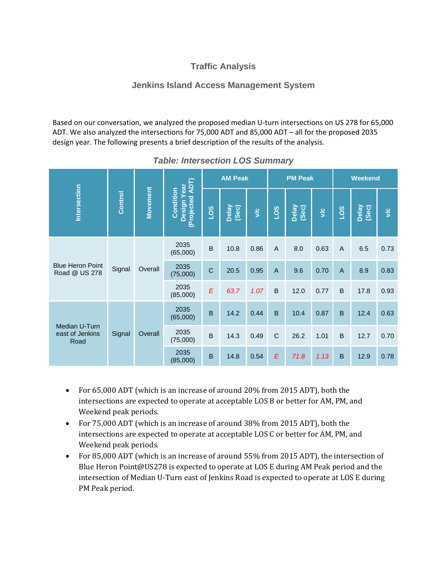## **Traffic Analysis**

## **Jenkins Island Access Management System**

Based on our conversation, we analyzed the proposed median U‐turn intersections on US 278 for 65,000 ADT. We also analyzed the intersections for 75,000 ADT and 85,000 ADT – all for the proposed 2035 design year. The following presents a brief description of the results of the analysis.

|                                          | Control | <b>Movement</b> | (Projected ADT)<br>Year<br>Condition<br>Design | <b>AM Peak</b>   |                |            | <b>PM Peak</b> |                |            | <b>Weekend</b> |                |                      |
|------------------------------------------|---------|-----------------|------------------------------------------------|------------------|----------------|------------|----------------|----------------|------------|----------------|----------------|----------------------|
| Intersection                             |         |                 |                                                | 501              | Delay<br>(Sec) | $\sqrt{c}$ | 501            | Delay<br>(Sec) | $\sqrt{c}$ | 501            | Delay<br>(Sec) | $\frac{c}{\sqrt{2}}$ |
| <b>Blue Heron Point</b><br>Road @ US 278 | Signal  | Overall         | 2035<br>(65,000)                               | $\sf B$          | 10.8           | 0.86       | $\overline{A}$ | 8.0            | 0.63       | $\overline{A}$ | 6.5            | 0.73                 |
|                                          |         |                 | 2035<br>(75,000)                               | $\mathsf{C}$     | 20.5           | 0.95       | $\overline{A}$ | 9.6            | 0.70       | $\overline{A}$ | 8.9            | 0.83                 |
|                                          |         |                 | 2035<br>(85,000)                               | $\boldsymbol{E}$ | 63.7           | 1.07       | B              | 12.0           | 0.77       | $\mathsf B$    | 17.8           | 0.93                 |
| Median U-Turn<br>east of Jenkins<br>Road | Signal  | Overall         | 2035<br>(65,000)                               | $\overline{B}$   | 14.2           | 0.44       | $\overline{B}$ | 10.4           | 0.87       | $\overline{B}$ | 12.4           | 0.63                 |
|                                          |         |                 | 2035<br>(75,000)                               | $\mathsf B$      | 14.3           | 0.49       | $\mathsf C$    | 26.2           | 1.01       | $\mathsf B$    | 12.7           | 0.70                 |
|                                          |         |                 | 2035<br>(85,000)                               | $\overline{B}$   | 14.8           | 0.54       | $\sqrt{E}$     | 71.8           | 1.13       | $\overline{B}$ | 12.9           | 0.78                 |

## *Table: Intersection LOS Summary*

- For 65,000 ADT (which is an increase of around 20% from 2015 ADT), both the intersections are expected to operate at acceptable LOS B or better for AM, PM, and Weekend peak periods.
- For 75,000 ADT (which is an increase of around 38% from 2015 ADT), both the intersections are expected to operate at acceptable LOS C or better for AM, PM, and Weekend peak periods.
- For 85,000 ADT (which is an increase of around 55% from 2015 ADT), the intersection of Blue Heron Point@US278 is expected to operate at LOS E during AM Peak period and the intersection of Median U-Turn east of Jenkins Road is expected to operate at LOS E during PM Peak period.